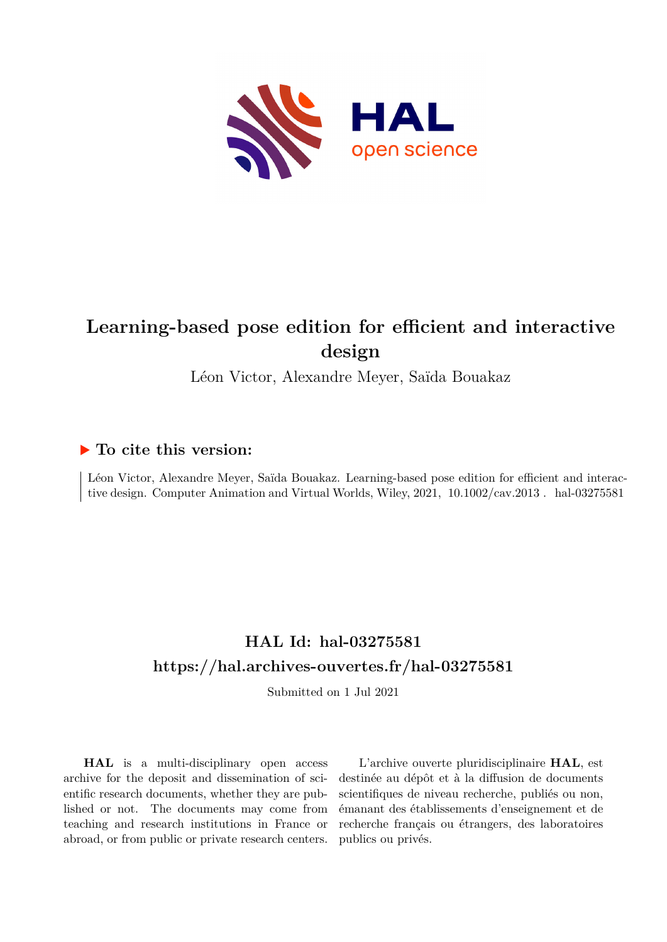

# **Learning-based pose edition for efficient and interactive design**

Léon Victor, Alexandre Meyer, Saïda Bouakaz

## **To cite this version:**

Léon Victor, Alexandre Meyer, Saïda Bouakaz. Learning-based pose edition for efficient and interactive design. Computer Animation and Virtual Worlds, Wiley, 2021, 10.1002/cav.2013. hal-03275581

## **HAL Id: hal-03275581 <https://hal.archives-ouvertes.fr/hal-03275581>**

Submitted on 1 Jul 2021

**HAL** is a multi-disciplinary open access archive for the deposit and dissemination of scientific research documents, whether they are published or not. The documents may come from teaching and research institutions in France or abroad, or from public or private research centers.

L'archive ouverte pluridisciplinaire **HAL**, est destinée au dépôt et à la diffusion de documents scientifiques de niveau recherche, publiés ou non, émanant des établissements d'enseignement et de recherche français ou étrangers, des laboratoires publics ou privés.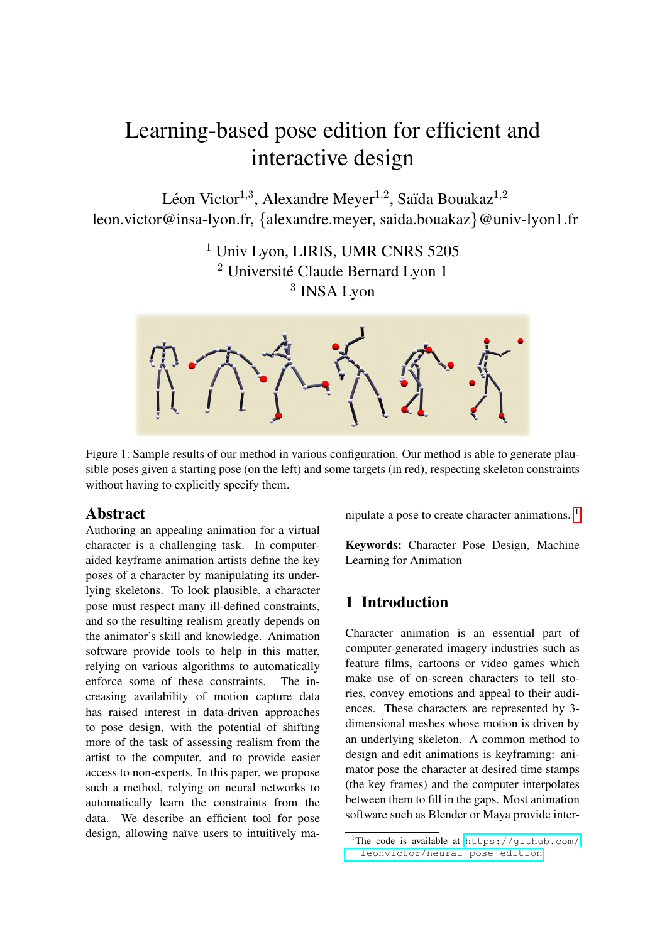# Learning-based pose edition for efficient and interactive design

Léon Victor $^{1,3}$ , Alexandre Meyer $^{1,2}$ , Saïda Bouakaz $^{1,2}$ leon.victor@insa-lyon.fr, {alexandre.meyer, saida.bouakaz}@univ-lyon1.fr

> <sup>1</sup> Univ Lyon, LIRIS, UMR CNRS 5205  $2$  Université Claude Bernard Lyon 1 3 INSA Lyon



Figure 1: Sample results of our method in various configuration. Our method is able to generate plausible poses given a starting pose (on the left) and some targets (in red), respecting skeleton constraints without having to explicitly specify them.

## Abstract

Authoring an appealing animation for a virtual character is a challenging task. In computeraided keyframe animation artists define the key poses of a character by manipulating its underlying skeletons. To look plausible, a character pose must respect many ill-defined constraints, and so the resulting realism greatly depends on the animator's skill and knowledge. Animation software provide tools to help in this matter, relying on various algorithms to automatically enforce some of these constraints. The increasing availability of motion capture data has raised interest in data-driven approaches to pose design, with the potential of shifting more of the task of assessing realism from the artist to the computer, and to provide easier access to non-experts. In this paper, we propose such a method, relying on neural networks to automatically learn the constraints from the data. We describe an efficient tool for pose design, allowing naïve users to intuitively manipulate a pose to create character animations. 1

Keywords: Character Pose Design, Machine Learning for Animation

## 1 Introduction

Character animation is an essential part of computer-generated imagery industries such as feature films, cartoons or video games which make use of on-screen characters to tell stories, convey emotions and appeal to their audiences. These characters are represented by 3 dimensional meshes whose motion is driven by an underlying skeleton. A common method to design and edit animations is keyframing: animator pose the character at desired time stamps (the key frames) and the computer interpolates between them to fill in the gaps. Most animation software such as Blender or Maya provide inter-

<sup>&</sup>lt;sup>1</sup>The code is available at [https://github.com/](https://github.com/leonvictor/neural-pose-edition) [leonvictor/neural-pose-edition](https://github.com/leonvictor/neural-pose-edition)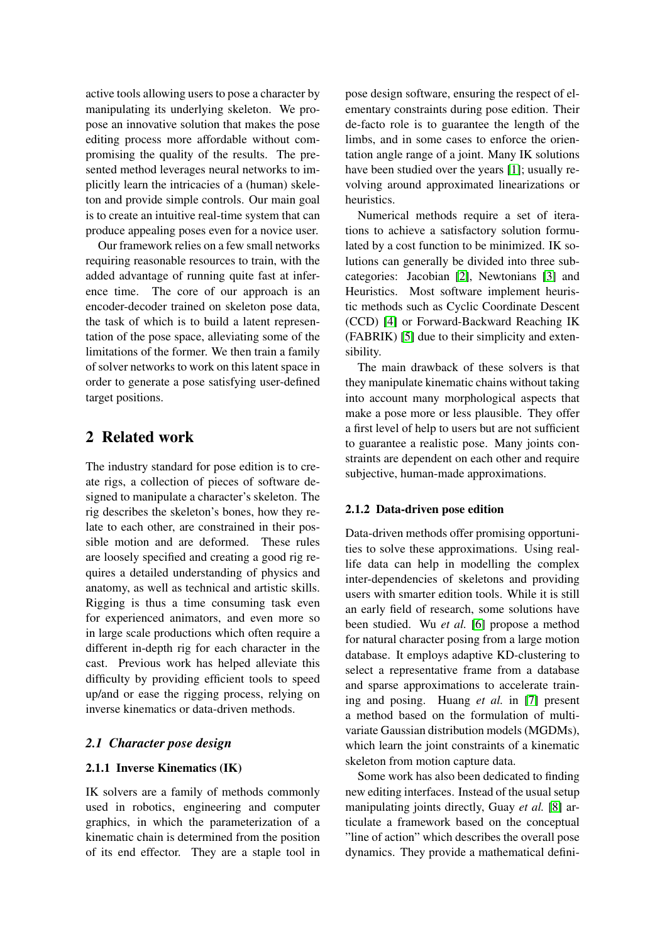active tools allowing users to pose a character by manipulating its underlying skeleton. We propose an innovative solution that makes the pose editing process more affordable without compromising the quality of the results. The presented method leverages neural networks to implicitly learn the intricacies of a (human) skeleton and provide simple controls. Our main goal is to create an intuitive real-time system that can produce appealing poses even for a novice user.

Our framework relies on a few small networks requiring reasonable resources to train, with the added advantage of running quite fast at inference time. The core of our approach is an encoder-decoder trained on skeleton pose data, the task of which is to build a latent representation of the pose space, alleviating some of the limitations of the former. We then train a family of solver networks to work on this latent space in order to generate a pose satisfying user-defined target positions.

## 2 Related work

The industry standard for pose edition is to create rigs, a collection of pieces of software designed to manipulate a character's skeleton. The rig describes the skeleton's bones, how they relate to each other, are constrained in their possible motion and are deformed. These rules are loosely specified and creating a good rig requires a detailed understanding of physics and anatomy, as well as technical and artistic skills. Rigging is thus a time consuming task even for experienced animators, and even more so in large scale productions which often require a different in-depth rig for each character in the cast. Previous work has helped alleviate this difficulty by providing efficient tools to speed up/and or ease the rigging process, relying on inverse kinematics or data-driven methods.

#### *2.1 Character pose design*

#### 2.1.1 Inverse Kinematics (IK)

IK solvers are a family of methods commonly used in robotics, engineering and computer graphics, in which the parameterization of a kinematic chain is determined from the position of its end effector. They are a staple tool in

pose design software, ensuring the respect of elementary constraints during pose edition. Their de-facto role is to guarantee the length of the limbs, and in some cases to enforce the orientation angle range of a joint. Many IK solutions have been studied over the years [1]; usually revolving around approximated linearizations or heuristics.

Numerical methods require a set of iterations to achieve a satisfactory solution formulated by a cost function to be minimized. IK solutions can generally be divided into three subcategories: Jacobian [2], Newtonians [3] and Heuristics. Most software implement heuristic methods such as Cyclic Coordinate Descent (CCD) [4] or Forward-Backward Reaching IK (FABRIK) [5] due to their simplicity and extensibility.

The main drawback of these solvers is that they manipulate kinematic chains without taking into account many morphological aspects that make a pose more or less plausible. They offer a first level of help to users but are not sufficient to guarantee a realistic pose. Many joints constraints are dependent on each other and require subjective, human-made approximations.

#### 2.1.2 Data-driven pose edition

Data-driven methods offer promising opportunities to solve these approximations. Using reallife data can help in modelling the complex inter-dependencies of skeletons and providing users with smarter edition tools. While it is still an early field of research, some solutions have been studied. Wu *et al.* [6] propose a method for natural character posing from a large motion database. It employs adaptive KD-clustering to select a representative frame from a database and sparse approximations to accelerate training and posing. Huang *et al.* in [7] present a method based on the formulation of multivariate Gaussian distribution models (MGDMs), which learn the joint constraints of a kinematic skeleton from motion capture data.

Some work has also been dedicated to finding new editing interfaces. Instead of the usual setup manipulating joints directly, Guay *et al.* [8] articulate a framework based on the conceptual "line of action" which describes the overall pose dynamics. They provide a mathematical defini-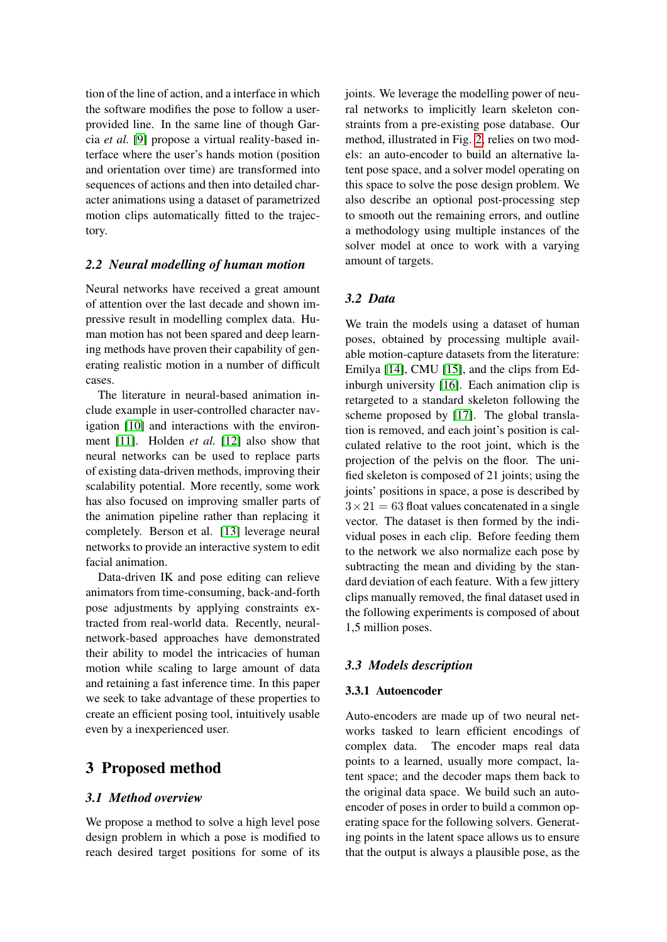tion of the line of action, and a interface in which the software modifies the pose to follow a userprovided line. In the same line of though Garcia *et al.* [9] propose a virtual reality-based interface where the user's hands motion (position and orientation over time) are transformed into sequences of actions and then into detailed character animations using a dataset of parametrized motion clips automatically fitted to the trajectory.

#### *2.2 Neural modelling of human motion*

Neural networks have received a great amount of attention over the last decade and shown impressive result in modelling complex data. Human motion has not been spared and deep learning methods have proven their capability of generating realistic motion in a number of difficult cases.

The literature in neural-based animation include example in user-controlled character navigation [10] and interactions with the environment [11]. Holden *et al.* [12] also show that neural networks can be used to replace parts of existing data-driven methods, improving their scalability potential. More recently, some work has also focused on improving smaller parts of the animation pipeline rather than replacing it completely. Berson et al. [13] leverage neural networks to provide an interactive system to edit facial animation.

Data-driven IK and pose editing can relieve animators from time-consuming, back-and-forth pose adjustments by applying constraints extracted from real-world data. Recently, neuralnetwork-based approaches have demonstrated their ability to model the intricacies of human motion while scaling to large amount of data and retaining a fast inference time. In this paper we seek to take advantage of these properties to create an efficient posing tool, intuitively usable even by a inexperienced user.

## 3 Proposed method

#### *3.1 Method overview*

We propose a method to solve a high level pose design problem in which a pose is modified to reach desired target positions for some of its

joints. We leverage the modelling power of neural networks to implicitly learn skeleton constraints from a pre-existing pose database. Our method, illustrated in Fig. 2, relies on two models: an auto-encoder to build an alternative latent pose space, and a solver model operating on this space to solve the pose design problem. We also describe an optional post-processing step to smooth out the remaining errors, and outline a methodology using multiple instances of the solver model at once to work with a varying amount of targets.

#### *3.2 Data*

We train the models using a dataset of human poses, obtained by processing multiple available motion-capture datasets from the literature: Emilya [14], CMU [15], and the clips from Edinburgh university [16]. Each animation clip is retargeted to a standard skeleton following the scheme proposed by [17]. The global translation is removed, and each joint's position is calculated relative to the root joint, which is the projection of the pelvis on the floor. The unified skeleton is composed of 21 joints; using the joints' positions in space, a pose is described by  $3 \times 21 = 63$  float values concatenated in a single vector. The dataset is then formed by the individual poses in each clip. Before feeding them to the network we also normalize each pose by subtracting the mean and dividing by the standard deviation of each feature. With a few jittery clips manually removed, the final dataset used in the following experiments is composed of about 1,5 million poses.

#### *3.3 Models description*

#### 3.3.1 Autoencoder

Auto-encoders are made up of two neural networks tasked to learn efficient encodings of complex data. The encoder maps real data points to a learned, usually more compact, latent space; and the decoder maps them back to the original data space. We build such an autoencoder of poses in order to build a common operating space for the following solvers. Generating points in the latent space allows us to ensure that the output is always a plausible pose, as the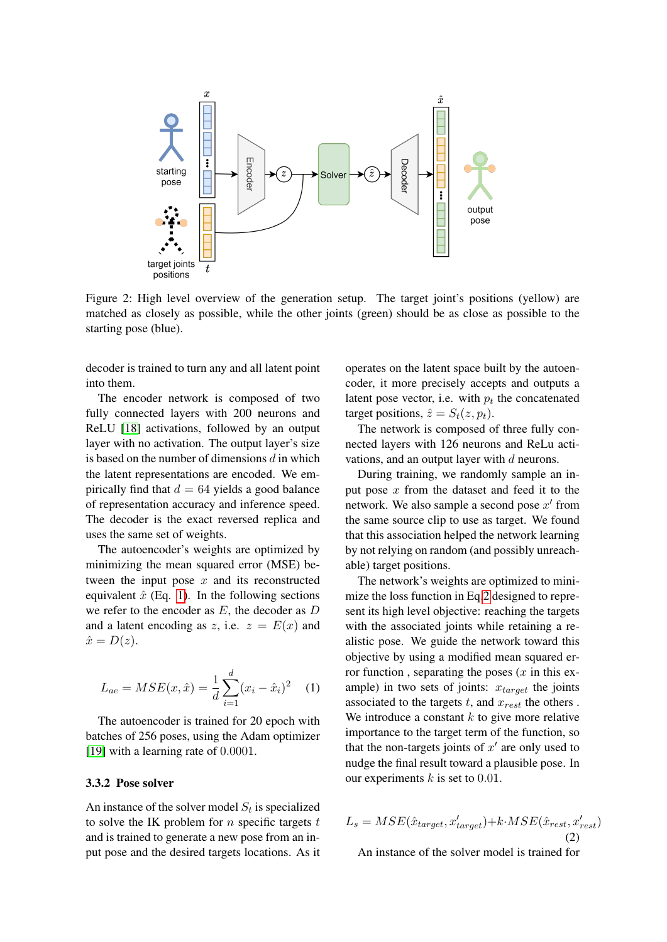

Figure 2: High level overview of the generation setup. The target joint's positions (yellow) are matched as closely as possible, while the other joints (green) should be as close as possible to the starting pose (blue).

decoder is trained to turn any and all latent point into them.

The encoder network is composed of two fully connected layers with 200 neurons and ReLU [18] activations, followed by an output layer with no activation. The output layer's size is based on the number of dimensions  $d$  in which the latent representations are encoded. We empirically find that  $d = 64$  yields a good balance of representation accuracy and inference speed. The decoder is the exact reversed replica and uses the same set of weights.

The autoencoder's weights are optimized by minimizing the mean squared error (MSE) between the input pose  $x$  and its reconstructed equivalent  $\hat{x}$  (Eq. 1). In the following sections we refer to the encoder as  $E$ , the decoder as  $D$ and a latent encoding as z, i.e.  $z = E(x)$  and  $\hat{x} = D(z).$ 

$$
L_{ae} = MSE(x, \hat{x}) = \frac{1}{d} \sum_{i=1}^{d} (x_i - \hat{x}_i)^2
$$
 (1)

The autoencoder is trained for 20 epoch with batches of 256 poses, using the Adam optimizer [19] with a learning rate of 0.0001.

#### 3.3.2 Pose solver

An instance of the solver model  $S_t$  is specialized to solve the IK problem for  $n$  specific targets  $t$ and is trained to generate a new pose from an input pose and the desired targets locations. As it operates on the latent space built by the autoencoder, it more precisely accepts and outputs a latent pose vector, i.e. with  $p_t$  the concatenated target positions,  $\hat{z} = S_t(z, p_t)$ .

The network is composed of three fully connected layers with 126 neurons and ReLu activations, and an output layer with  $d$  neurons.

During training, we randomly sample an input pose  $x$  from the dataset and feed it to the network. We also sample a second pose  $x'$  from the same source clip to use as target. We found that this association helped the network learning by not relying on random (and possibly unreachable) target positions.

The network's weights are optimized to minimize the loss function in Eq.2 designed to represent its high level objective: reaching the targets with the associated joints while retaining a realistic pose. We guide the network toward this objective by using a modified mean squared error function, separating the poses  $(x$  in this example) in two sets of joints:  $x_{target}$  the joints associated to the targets  $t$ , and  $x_{rest}$  the others. We introduce a constant  $k$  to give more relative importance to the target term of the function, so that the non-targets joints of  $x'$  are only used to nudge the final result toward a plausible pose. In our experiments  $k$  is set to 0.01.

$$
L_s = MSE(\hat{x}_{target}, x'_{target}) + k \cdot MSE(\hat{x}_{rest}, x'_{rest})
$$
\n(2)

An instance of the solver model is trained for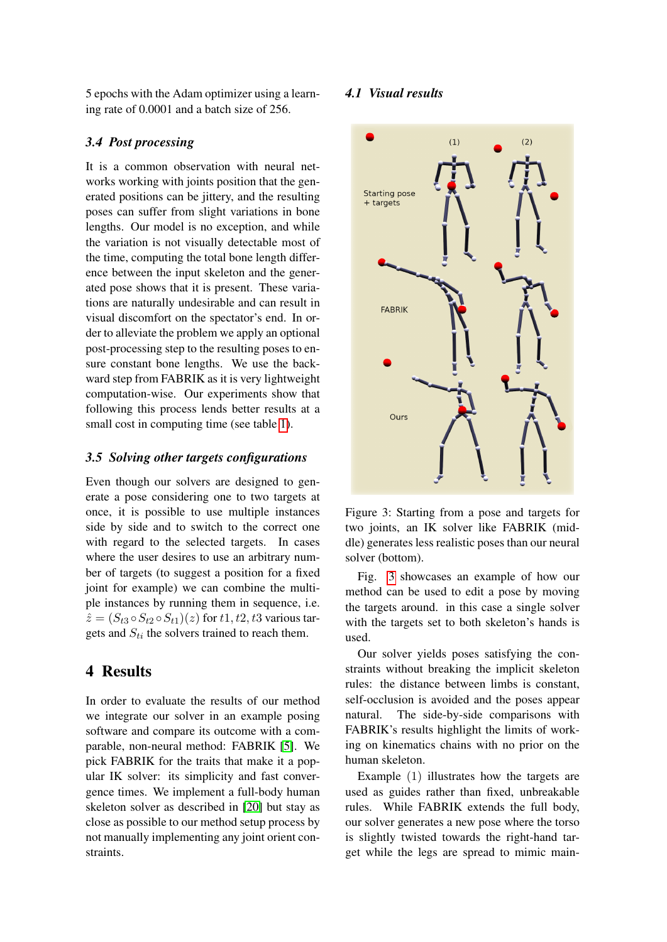5 epochs with the Adam optimizer using a learning rate of 0.0001 and a batch size of 256.

#### *3.4 Post processing*

It is a common observation with neural networks working with joints position that the generated positions can be jittery, and the resulting poses can suffer from slight variations in bone lengths. Our model is no exception, and while the variation is not visually detectable most of the time, computing the total bone length difference between the input skeleton and the generated pose shows that it is present. These variations are naturally undesirable and can result in visual discomfort on the spectator's end. In order to alleviate the problem we apply an optional post-processing step to the resulting poses to ensure constant bone lengths. We use the backward step from FABRIK as it is very lightweight computation-wise. Our experiments show that following this process lends better results at a small cost in computing time (see table 1).

#### *3.5 Solving other targets configurations*

Even though our solvers are designed to generate a pose considering one to two targets at once, it is possible to use multiple instances side by side and to switch to the correct one with regard to the selected targets. In cases where the user desires to use an arbitrary number of targets (to suggest a position for a fixed joint for example) we can combine the multiple instances by running them in sequence, i.e.  $\hat{z} = (S_{t3} \circ S_{t2} \circ S_{t1})(z)$  for  $t1, t2, t3$  various targets and  $S_{ti}$  the solvers trained to reach them.

## 4 Results

In order to evaluate the results of our method we integrate our solver in an example posing software and compare its outcome with a comparable, non-neural method: FABRIK [5]. We pick FABRIK for the traits that make it a popular IK solver: its simplicity and fast convergence times. We implement a full-body human skeleton solver as described in [20] but stay as close as possible to our method setup process by not manually implementing any joint orient constraints.

#### *4.1 Visual results*



Figure 3: Starting from a pose and targets for two joints, an IK solver like FABRIK (middle) generates less realistic poses than our neural solver (bottom).

Fig. 3 showcases an example of how our method can be used to edit a pose by moving the targets around. in this case a single solver with the targets set to both skeleton's hands is used.

Our solver yields poses satisfying the constraints without breaking the implicit skeleton rules: the distance between limbs is constant, self-occlusion is avoided and the poses appear natural. The side-by-side comparisons with FABRIK's results highlight the limits of working on kinematics chains with no prior on the human skeleton.

Example (1) illustrates how the targets are used as guides rather than fixed, unbreakable rules. While FABRIK extends the full body, our solver generates a new pose where the torso is slightly twisted towards the right-hand target while the legs are spread to mimic main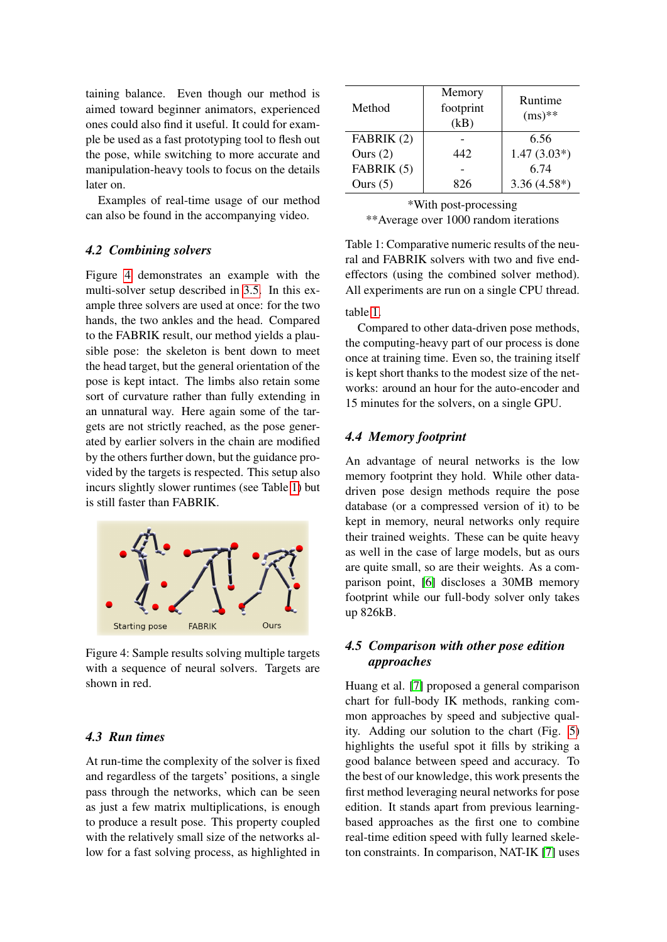taining balance. Even though our method is aimed toward beginner animators, experienced ones could also find it useful. It could for example be used as a fast prototyping tool to flesh out the pose, while switching to more accurate and manipulation-heavy tools to focus on the details later on.

Examples of real-time usage of our method can also be found in the accompanying video.

#### *4.2 Combining solvers*

Figure 4 demonstrates an example with the multi-solver setup described in 3.5. In this example three solvers are used at once: for the two hands, the two ankles and the head. Compared to the FABRIK result, our method yields a plausible pose: the skeleton is bent down to meet the head target, but the general orientation of the pose is kept intact. The limbs also retain some sort of curvature rather than fully extending in an unnatural way. Here again some of the targets are not strictly reached, as the pose generated by earlier solvers in the chain are modified by the others further down, but the guidance provided by the targets is respected. This setup also incurs slightly slower runtimes (see Table 1) but is still faster than FABRIK.



Figure 4: Sample results solving multiple targets with a sequence of neural solvers. Targets are shown in red.

#### *4.3 Run times*

At run-time the complexity of the solver is fixed and regardless of the targets' positions, a single pass through the networks, which can be seen as just a few matrix multiplications, is enough to produce a result pose. This property coupled with the relatively small size of the networks allow for a fast solving process, as highlighted in

| Method     | Memory<br>footprint<br>(kB) | Runtime<br>$(ms)^{**}$ |
|------------|-----------------------------|------------------------|
| FABRIK (2) |                             | 6.56                   |
| Ours $(2)$ | 442                         | $1.47(3.03*)$          |
| FABRIK (5) |                             | 6.74                   |
| Ours $(5)$ | 826                         | $3.36(4.58*)$          |

| *With post-processing                  |
|----------------------------------------|
| ** Average over 1000 random iterations |

Table 1: Comparative numeric results of the neural and FABRIK solvers with two and five endeffectors (using the combined solver method). All experiments are run on a single CPU thread.

## table 1.

Compared to other data-driven pose methods, the computing-heavy part of our process is done once at training time. Even so, the training itself is kept short thanks to the modest size of the networks: around an hour for the auto-encoder and 15 minutes for the solvers, on a single GPU.

#### *4.4 Memory footprint*

An advantage of neural networks is the low memory footprint they hold. While other datadriven pose design methods require the pose database (or a compressed version of it) to be kept in memory, neural networks only require their trained weights. These can be quite heavy as well in the case of large models, but as ours are quite small, so are their weights. As a comparison point, [6] discloses a 30MB memory footprint while our full-body solver only takes up 826kB.

### *4.5 Comparison with other pose edition approaches*

Huang et al. [7] proposed a general comparison chart for full-body IK methods, ranking common approaches by speed and subjective quality. Adding our solution to the chart (Fig. 5) highlights the useful spot it fills by striking a good balance between speed and accuracy. To the best of our knowledge, this work presents the first method leveraging neural networks for pose edition. It stands apart from previous learningbased approaches as the first one to combine real-time edition speed with fully learned skeleton constraints. In comparison, NAT-IK [7] uses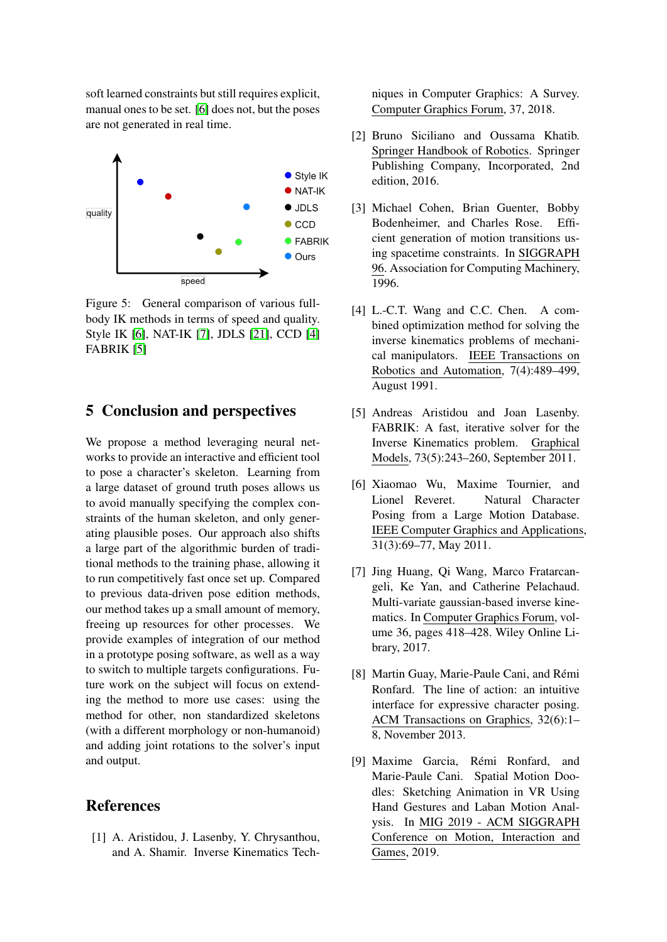soft learned constraints but still requires explicit, manual ones to be set. [6] does not, but the poses are not generated in real time.



Figure 5: General comparison of various fullbody IK methods in terms of speed and quality. Style IK [6], NAT-IK [7], JDLS [21], CCD [4] FABRIK [5]

## 5 Conclusion and perspectives

We propose a method leveraging neural networks to provide an interactive and efficient tool to pose a character's skeleton. Learning from a large dataset of ground truth poses allows us to avoid manually specifying the complex constraints of the human skeleton, and only generating plausible poses. Our approach also shifts a large part of the algorithmic burden of traditional methods to the training phase, allowing it to run competitively fast once set up. Compared to previous data-driven pose edition methods, our method takes up a small amount of memory, freeing up resources for other processes. We provide examples of integration of our method in a prototype posing software, as well as a way to switch to multiple targets configurations. Future work on the subject will focus on extending the method to more use cases: using the method for other, non standardized skeletons (with a different morphology or non-humanoid) and adding joint rotations to the solver's input and output.

## References

[1] A. Aristidou, J. Lasenby, Y. Chrysanthou, and A. Shamir. Inverse Kinematics Techniques in Computer Graphics: A Survey. Computer Graphics Forum, 37, 2018.

- [2] Bruno Siciliano and Oussama Khatib. Springer Handbook of Robotics. Springer Publishing Company, Incorporated, 2nd edition, 2016.
- [3] Michael Cohen, Brian Guenter, Bobby Bodenheimer, and Charles Rose. Efficient generation of motion transitions using spacetime constraints. In SIGGRAPH 96. Association for Computing Machinery, 1996.
- [4] L.-C.T. Wang and C.C. Chen. A combined optimization method for solving the inverse kinematics problems of mechanical manipulators. IEEE Transactions on Robotics and Automation, 7(4):489–499, August 1991.
- [5] Andreas Aristidou and Joan Lasenby. FABRIK: A fast, iterative solver for the Inverse Kinematics problem. Graphical Models, 73(5):243–260, September 2011.
- [6] Xiaomao Wu, Maxime Tournier, and Lionel Reveret. Natural Character Posing from a Large Motion Database. IEEE Computer Graphics and Applications, 31(3):69–77, May 2011.
- [7] Jing Huang, Qi Wang, Marco Fratarcangeli, Ke Yan, and Catherine Pelachaud. Multi-variate gaussian-based inverse kinematics. In Computer Graphics Forum, volume 36, pages 418–428. Wiley Online Library, 2017.
- [8] Martin Guay, Marie-Paule Cani, and Rémi Ronfard. The line of action: an intuitive interface for expressive character posing. ACM Transactions on Graphics, 32(6):1– 8, November 2013.
- [9] Maxime Garcia, Rémi Ronfard, and Marie-Paule Cani. Spatial Motion Doodles: Sketching Animation in VR Using Hand Gestures and Laban Motion Analysis. In MIG 2019 - ACM SIGGRAPH Conference on Motion, Interaction and Games, 2019.